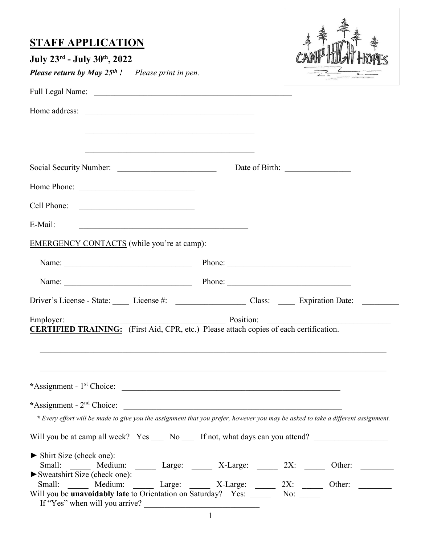| <b>STAFF APPLICATION</b><br>July 23rd - July 30th, 2022<br><b>Please return by May 25th !</b> Please print in pen.                           |           |                                                       |
|----------------------------------------------------------------------------------------------------------------------------------------------|-----------|-------------------------------------------------------|
|                                                                                                                                              |           |                                                       |
| Home address:                                                                                                                                |           |                                                       |
| <u> 1989 - Johann Stoff, amerikansk politik (* 1908)</u>                                                                                     |           |                                                       |
|                                                                                                                                              |           |                                                       |
| Home Phone:                                                                                                                                  |           |                                                       |
| Cell Phone:                                                                                                                                  |           |                                                       |
| E-Mail:                                                                                                                                      |           |                                                       |
| <b>EMERGENCY CONTACTS</b> (while you're at camp):                                                                                            |           |                                                       |
| Name: <u>Name:</u> Phone: Phone: 2008.                                                                                                       |           |                                                       |
| Name: <u>Name:</u> Phone: Phone: 2008.                                                                                                       |           |                                                       |
| Driver's License - State: License #: License #: Class: License #: Class: License : Class: License : License #:                               |           |                                                       |
| Employer:                                                                                                                                    | Position: |                                                       |
| <b>CERTIFIED TRAINING:</b> (First Aid, CPR, etc.) Please attach copies of each certification.                                                |           |                                                       |
| *Assignment - 1 <sup>st</sup> Choice:                                                                                                        |           |                                                       |
|                                                                                                                                              |           |                                                       |
| * Every effort will be made to give you the assignment that you prefer, however you may be asked to take a different assignment.             |           |                                                       |
| Will you be at camp all week? Yes _____ No _____ If not, what days can you attend? _________________                                         |           |                                                       |
| Shirt Size (check one):<br>Small: ______ Medium: ______ Large: ______ X-Large: ______ 2X: _____ Other: _____<br>Sweatshirt Size (check one): |           |                                                       |
| Small: _______ Medium:<br>Will you be <b>unavoidably late</b> to Orientation on Saturday? Yes: _______ No:                                   |           | Large: ______ X-Large: ______ 2X: _____ Other: ______ |
| If "Yes" when will you arrive?                                                                                                               |           |                                                       |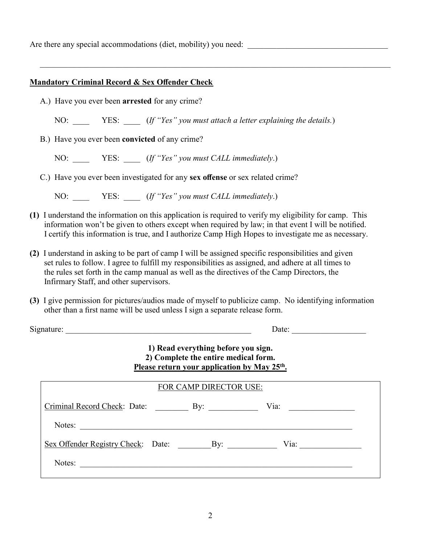Are there any special accommodations (diet, mobility) you need:

### **Mandatory Criminal Record & Sex Offender Check**

A.) Have you ever been **arrested** for any crime?

NO: \_\_\_\_ YES: \_\_\_\_ (*If "Yes" you must attach a letter explaining the details.*)

B.) Have you ever been **convicted** of any crime?

NO: \_\_\_\_ YES: \_\_\_\_ (*If "Yes" you must CALL immediately*.)

C.) Have you ever been investigated for any **sex offense** or sex related crime?

NO: \_\_\_\_ YES: \_\_\_\_ (*If "Yes" you must CALL immediately*.)

- **(1)** I understand the information on this application is required to verify my eligibility for camp. This information won't be given to others except when required by law; in that event I will be notified. I certify this information is true, and I authorize Camp High Hopes to investigate me as necessary.
- **(2)** I understand in asking to be part of camp I will be assigned specific responsibilities and given set rules to follow. I agree to fulfill my responsibilities as assigned, and adhere at all times to the rules set forth in the camp manual as well as the directives of the Camp Directors, the Infirmary Staff, and other supervisors.
- **(3)** I give permission for pictures/audios made of myself to publicize camp. No identifying information other than a first name will be used unless I sign a separate release form.

Signature: \_\_\_\_\_\_\_\_\_\_\_\_\_\_\_\_\_\_\_\_\_\_\_\_\_\_\_\_\_\_\_\_\_\_\_\_\_\_\_\_\_\_\_\_\_ Date: \_\_\_\_\_\_\_\_\_\_\_\_\_\_\_\_\_\_

## **1) Read everything before you sign. 2) Complete the entire medical form. Please return your application by May 25th .**

| FOR CAMP DIRECTOR USE:                 |  |  |                                                 |  |  |
|----------------------------------------|--|--|-------------------------------------------------|--|--|
|                                        |  |  | Via:<br><u> 1989 - Andrea Station Barbara (</u> |  |  |
| Notes:                                 |  |  |                                                 |  |  |
| Sex Offender Registry Check: Date: By: |  |  | Via: $\qquad \qquad$                            |  |  |
| Notes:                                 |  |  |                                                 |  |  |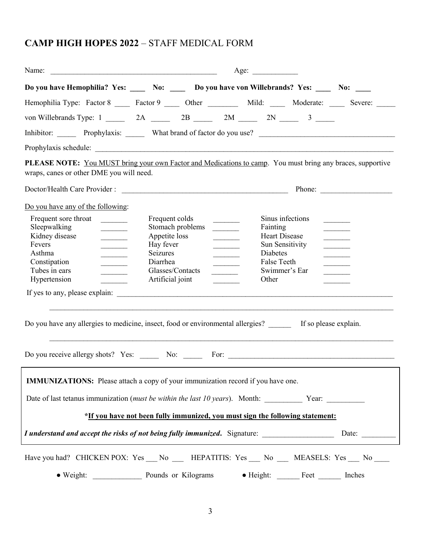# **CAMP HIGH HOPES 2022** – STAFF MEDICAL FORM

| Name:                                                                                                                                                                                                                                                                     | Age:                                                                                     |                                                                                |                                                                                                                                                                                                                                                                                                    |                                                                                         |                                   |                              |  |
|---------------------------------------------------------------------------------------------------------------------------------------------------------------------------------------------------------------------------------------------------------------------------|------------------------------------------------------------------------------------------|--------------------------------------------------------------------------------|----------------------------------------------------------------------------------------------------------------------------------------------------------------------------------------------------------------------------------------------------------------------------------------------------|-----------------------------------------------------------------------------------------|-----------------------------------|------------------------------|--|
|                                                                                                                                                                                                                                                                           |                                                                                          | Do you have Hemophilia? Yes: No: No: Do you have von Willebrands? Yes: No: No: |                                                                                                                                                                                                                                                                                                    |                                                                                         |                                   |                              |  |
| Hemophilia Type: Factor 8 _____ Factor 9 _____ Other _________ Mild: _____ Moderate: _____ Severe: _____                                                                                                                                                                  |                                                                                          |                                                                                |                                                                                                                                                                                                                                                                                                    |                                                                                         |                                   |                              |  |
| von Willebrands Type: $1 \_ 2A \_ 2B \_ 2M \_ 2N \_ 3 \_ 3 \_ 3$                                                                                                                                                                                                          |                                                                                          |                                                                                |                                                                                                                                                                                                                                                                                                    |                                                                                         |                                   |                              |  |
|                                                                                                                                                                                                                                                                           |                                                                                          |                                                                                |                                                                                                                                                                                                                                                                                                    |                                                                                         |                                   |                              |  |
|                                                                                                                                                                                                                                                                           |                                                                                          |                                                                                |                                                                                                                                                                                                                                                                                                    |                                                                                         |                                   |                              |  |
| PLEASE NOTE: You MUST bring your own Factor and Medications to camp. You must bring any braces, supportive<br>wraps, canes or other DME you will need.                                                                                                                    |                                                                                          |                                                                                |                                                                                                                                                                                                                                                                                                    |                                                                                         |                                   |                              |  |
|                                                                                                                                                                                                                                                                           |                                                                                          |                                                                                |                                                                                                                                                                                                                                                                                                    |                                                                                         |                                   |                              |  |
| Do you have any of the following:                                                                                                                                                                                                                                         |                                                                                          |                                                                                |                                                                                                                                                                                                                                                                                                    |                                                                                         |                                   |                              |  |
| Frequent sore throat<br>Sleepwalking<br>$\overline{\phantom{a}}$<br>Kidney disease<br>$\overline{\phantom{a}}$<br>Fevers<br><u> Liberal College (</u><br>Asthma<br><u> Liberal College (</u><br>Constipation<br>Tubes in ears<br>$\overline{\phantom{a}}$<br>Hypertension | Frequent colds<br>Appetite loss<br>Hay fever<br>Seizures<br>Diarrhea<br>Artificial joint | Stomach problems<br>Glasses/Contacts                                           | $\frac{1}{2}$<br><u>and the state</u><br>$\label{eq:2} \frac{1}{\sqrt{2\pi}}\left(\frac{1}{\sqrt{2\pi}}\right)^{1/2}\left(\frac{1}{\sqrt{2\pi}}\right)^{1/2}\left(\frac{1}{\sqrt{2\pi}}\right)^{1/2}$<br>$\overline{\phantom{a}}$<br>$\mathcal{L}^{\text{max}}$ , where $\mathcal{L}^{\text{max}}$ | Fainting<br><b>Heart Disease</b><br>Sun Sensitivity<br>Diabetes<br>False Teeth<br>Other | Sinus infections<br>Swimmer's Ear | <u> Listen van die Stadt</u> |  |
| Do you have any allergies to medicine, insect, food or environmental allergies? ________ If so please explain.                                                                                                                                                            |                                                                                          |                                                                                |                                                                                                                                                                                                                                                                                                    |                                                                                         |                                   |                              |  |
|                                                                                                                                                                                                                                                                           |                                                                                          |                                                                                |                                                                                                                                                                                                                                                                                                    |                                                                                         |                                   |                              |  |
| <b>IMMUNIZATIONS:</b> Please attach a copy of your immunization record if you have one.                                                                                                                                                                                   |                                                                                          |                                                                                |                                                                                                                                                                                                                                                                                                    |                                                                                         |                                   |                              |  |
| Date of last tetanus immunization (must be within the last 10 years). Month: Year: Year:                                                                                                                                                                                  |                                                                                          |                                                                                |                                                                                                                                                                                                                                                                                                    |                                                                                         |                                   |                              |  |
|                                                                                                                                                                                                                                                                           | *If you have not been fully immunized, you must sign the following statement:            |                                                                                |                                                                                                                                                                                                                                                                                                    |                                                                                         |                                   |                              |  |
| I understand and accept the risks of not being fully immunized. Signature: ________________________                                                                                                                                                                       |                                                                                          |                                                                                |                                                                                                                                                                                                                                                                                                    |                                                                                         |                                   | Date: $\qquad \qquad$        |  |
| Have you had? CHICKEN POX: Yes __ No __ HEPATITIS: Yes __ No __ MEASELS: Yes __ No __<br>• Weight: Pounds or Kilograms                                                                                                                                                    |                                                                                          |                                                                                |                                                                                                                                                                                                                                                                                                    |                                                                                         |                                   | Inches                       |  |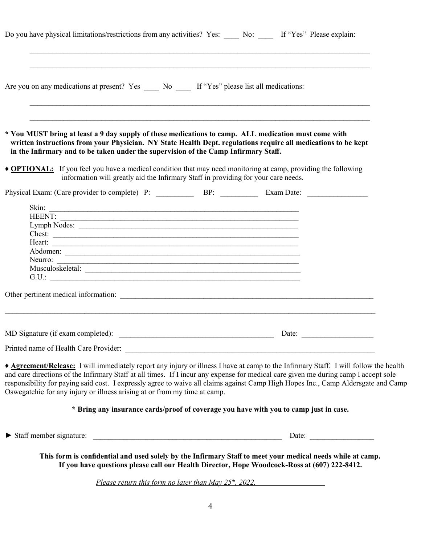|                                                                           |  |                                                                                                   | Do you have physical limitations/restrictions from any activities? Yes: No: Mo: Mo: The Wes" Please explain:                                                                                                                                                                                                                                                                                                   |  |
|---------------------------------------------------------------------------|--|---------------------------------------------------------------------------------------------------|----------------------------------------------------------------------------------------------------------------------------------------------------------------------------------------------------------------------------------------------------------------------------------------------------------------------------------------------------------------------------------------------------------------|--|
|                                                                           |  | Are you on any medications at present? Yes ______ No ______ If "Yes" please list all medications: |                                                                                                                                                                                                                                                                                                                                                                                                                |  |
|                                                                           |  | in the Infirmary and to be taken under the supervision of the Camp Infirmary Staff.               | * You MUST bring at least a 9 day supply of these medications to camp. ALL medication must come with<br>written instructions from your Physician. NY State Health Dept. regulations require all medications to be kept                                                                                                                                                                                         |  |
|                                                                           |  | information will greatly aid the Infirmary Staff in providing for your care needs.                | • <b>OPTIONAL:</b> If you feel you have a medical condition that may need monitoring at camp, providing the following                                                                                                                                                                                                                                                                                          |  |
|                                                                           |  |                                                                                                   |                                                                                                                                                                                                                                                                                                                                                                                                                |  |
|                                                                           |  |                                                                                                   |                                                                                                                                                                                                                                                                                                                                                                                                                |  |
| <b>HEENT:</b>                                                             |  |                                                                                                   |                                                                                                                                                                                                                                                                                                                                                                                                                |  |
|                                                                           |  | Lymph Nodes:                                                                                      |                                                                                                                                                                                                                                                                                                                                                                                                                |  |
|                                                                           |  |                                                                                                   |                                                                                                                                                                                                                                                                                                                                                                                                                |  |
|                                                                           |  | Heart: <u>International Communication</u>                                                         |                                                                                                                                                                                                                                                                                                                                                                                                                |  |
| Neurro:                                                                   |  |                                                                                                   |                                                                                                                                                                                                                                                                                                                                                                                                                |  |
|                                                                           |  | Musculoskeletal:                                                                                  |                                                                                                                                                                                                                                                                                                                                                                                                                |  |
|                                                                           |  |                                                                                                   |                                                                                                                                                                                                                                                                                                                                                                                                                |  |
|                                                                           |  |                                                                                                   |                                                                                                                                                                                                                                                                                                                                                                                                                |  |
|                                                                           |  |                                                                                                   |                                                                                                                                                                                                                                                                                                                                                                                                                |  |
| MD Signature (if exam completed):                                         |  |                                                                                                   | Date: $\overline{\phantom{a}}$                                                                                                                                                                                                                                                                                                                                                                                 |  |
|                                                                           |  |                                                                                                   |                                                                                                                                                                                                                                                                                                                                                                                                                |  |
| Oswegatchie for any injury or illness arising at or from my time at camp. |  |                                                                                                   | Agreement/Release: I will immediately report any injury or illness I have at camp to the Infirmary Staff. I will follow the health<br>and care directions of the Infirmary Staff at all times. If I incur any expense for medical care given me during camp I accept sole<br>responsibility for paying said cost. I expressly agree to waive all claims against Camp High Hopes Inc., Camp Aldersgate and Camp |  |
|                                                                           |  |                                                                                                   | * Bring any insurance cards/proof of coverage you have with you to camp just in case.                                                                                                                                                                                                                                                                                                                          |  |
|                                                                           |  |                                                                                                   |                                                                                                                                                                                                                                                                                                                                                                                                                |  |

**This form is confidential and used solely by the Infirmary Staff to meet your medical needs while at camp. If you have questions please call our Health Director, Hope Woodcock-Ross at (607) 222-8412.**

*Please return this form no later than May 25th, 2022.*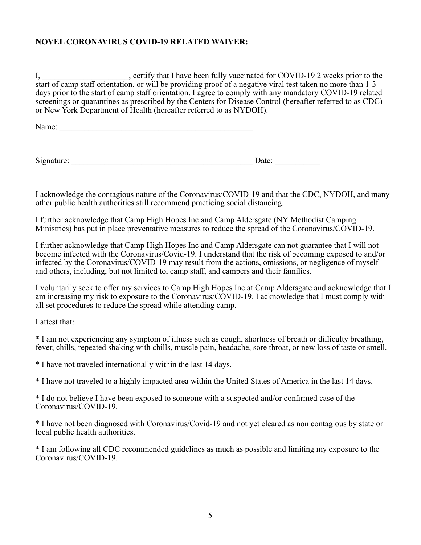## **NOVEL CORONAVIRUS COVID-19 RELATED WAIVER:**

I, \_\_\_\_\_\_\_\_\_\_\_\_\_\_\_\_\_\_\_\_, certify that I have been fully vaccinated for COVID-19 2 weeks prior to the start of camp staff orientation, or will be providing proof of a negative viral test taken no more than 1-3 days prior to the start of camp staff orientation. I agree to comply with any mandatory COVID-19 related screenings or quarantines as prescribed by the Centers for Disease Control (hereafter referred to as CDC) or New York Department of Health (hereafter referred to as NYDOH).

Name:

Signature: \_\_\_\_\_\_\_\_\_\_\_\_\_\_\_\_\_\_\_\_\_\_\_\_\_\_\_\_\_\_\_\_\_\_\_\_\_\_\_\_\_\_\_\_ Date: \_\_\_\_\_\_\_\_\_\_\_

I acknowledge the contagious nature of the Coronavirus/COVID-19 and that the CDC, NYDOH, and many other public health authorities still recommend practicing social distancing.

I further acknowledge that Camp High Hopes Inc and Camp Aldersgate (NY Methodist Camping Ministries) has put in place preventative measures to reduce the spread of the Coronavirus/COVID-19.

I further acknowledge that Camp High Hopes Inc and Camp Aldersgate can not guarantee that I will not become infected with the Coronavirus/Covid-19. I understand that the risk of becoming exposed to and/or infected by the Coronavirus/COVID-19 may result from the actions, omissions, or negligence of myself and others, including, but not limited to, camp staff, and campers and their families.

I voluntarily seek to offer my services to Camp High Hopes Inc at Camp Aldersgate and acknowledge that I am increasing my risk to exposure to the Coronavirus/COVID-19. I acknowledge that I must comply with all set procedures to reduce the spread while attending camp.

I attest that:

\* I am not experiencing any symptom of illness such as cough, shortness of breath or difficulty breathing, fever, chills, repeated shaking with chills, muscle pain, headache, sore throat, or new loss of taste or smell.

\* I have not traveled internationally within the last 14 days.

\* I have not traveled to a highly impacted area within the United States of America in the last 14 days.

\* I do not believe I have been exposed to someone with a suspected and/or confirmed case of the Coronavirus/COVID-19.

\* I have not been diagnosed with Coronavirus/Covid-19 and not yet cleared as non contagious by state or local public health authorities.

\* I am following all CDC recommended guidelines as much as possible and limiting my exposure to the Coronavirus/COVID-19.